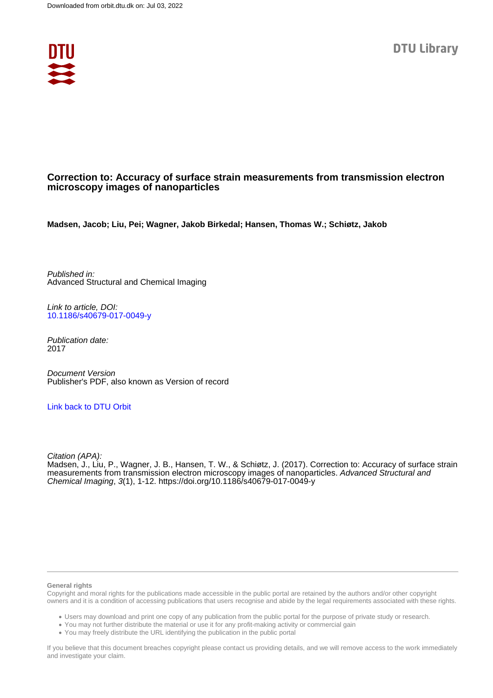

# **Correction to: Accuracy of surface strain measurements from transmission electron microscopy images of nanoparticles**

**Madsen, Jacob; Liu, Pei; Wagner, Jakob Birkedal; Hansen, Thomas W.; Schiøtz, Jakob**

Published in: Advanced Structural and Chemical Imaging

Link to article, DOI: [10.1186/s40679-017-0049-y](https://doi.org/10.1186/s40679-017-0049-y)

Publication date: 2017

Document Version Publisher's PDF, also known as Version of record

## [Link back to DTU Orbit](https://orbit.dtu.dk/en/publications/7f1963a0-7223-45d2-b6ca-4b74241895da)

Citation (APA):

Madsen, J., Liu, P., Wagner, J. B., Hansen, T. W., & Schiøtz, J. (2017). Correction to: Accuracy of surface strain measurements from transmission electron microscopy images of nanoparticles. Advanced Structural and Chemical Imaging, 3(1), 1-12.<https://doi.org/10.1186/s40679-017-0049-y>

### **General rights**

Copyright and moral rights for the publications made accessible in the public portal are retained by the authors and/or other copyright owners and it is a condition of accessing publications that users recognise and abide by the legal requirements associated with these rights.

Users may download and print one copy of any publication from the public portal for the purpose of private study or research.

- You may not further distribute the material or use it for any profit-making activity or commercial gain
- You may freely distribute the URL identifying the publication in the public portal

If you believe that this document breaches copyright please contact us providing details, and we will remove access to the work immediately and investigate your claim.